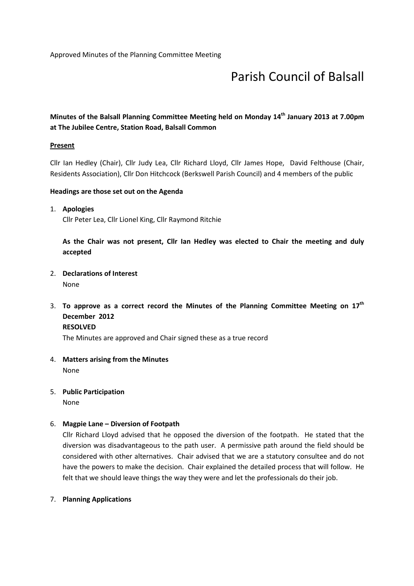# Parish Council of Balsall

# Minutes of the Balsall Planning Committee Meeting held on Monday 14<sup>th</sup> January 2013 at 7.00pm at The Jubilee Centre, Station Road, Balsall Common

## **Present**

Cllr Ian Hedley (Chair), Cllr Judy Lea, Cllr Richard Lloyd, Cllr James Hope, David Felthouse (Chair, Residents Association), Cllr Don Hitchcock (Berkswell Parish Council) and 4 members of the public

## Headings are those set out on the Agenda

## 1. Apologies

Cllr Peter Lea, Cllr Lionel King, Cllr Raymond Ritchie

As the Chair was not present, Cllr Ian Hedley was elected to Chair the meeting and duly accepted

2. Declarations of Interest

None

3. To approve as a correct record the Minutes of the Planning Committee Meeting on  $17<sup>th</sup>$ December 2012 RESOLVED

The Minutes are approved and Chair signed these as a true record

- 4. Matters arising from the Minutes None
- 5. Public Participation

None

# 6. Magpie Lane – Diversion of Footpath

Cllr Richard Lloyd advised that he opposed the diversion of the footpath. He stated that the diversion was disadvantageous to the path user. A permissive path around the field should be considered with other alternatives. Chair advised that we are a statutory consultee and do not have the powers to make the decision. Chair explained the detailed process that will follow. He felt that we should leave things the way they were and let the professionals do their job.

#### 7. Planning Applications